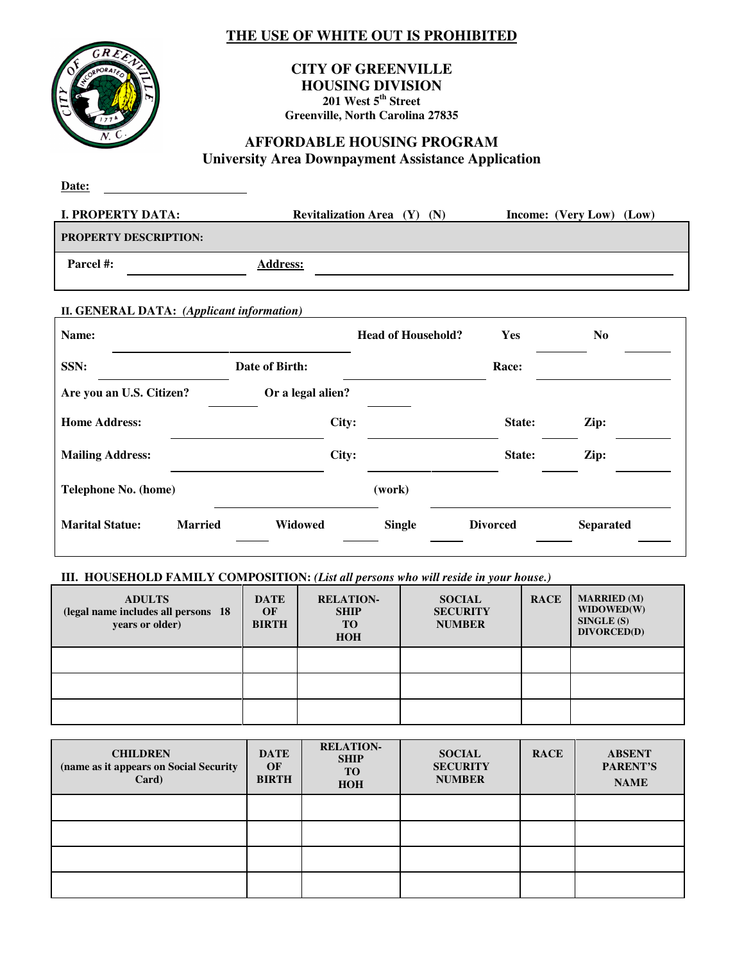## **THE USE OF WHITE OUT IS PROHIBITED**



#### **CITY OF GREENVILLE HOUSING DIVISION 201 West 5th Street Greenville, North Carolina 27835**

## **AFFORDABLE HOUSING PROGRAM University Area Downpayment Assistance Application**

| Date:                        |                                        |                          |
|------------------------------|----------------------------------------|--------------------------|
| <b>I. PROPERTY DATA:</b>     | <b>Revitalization Area</b> $(Y)$ $(N)$ | Income: (Very Low) (Low) |
| <b>PROPERTY DESCRIPTION:</b> |                                        |                          |
| Parcel #:                    | <b>Address:</b>                        |                          |

#### **II. GENERAL DATA:** *(Applicant information)*

| Name:                    |                |                   | <b>Head of Household?</b> | Yes             | N <sub>0</sub>   |
|--------------------------|----------------|-------------------|---------------------------|-----------------|------------------|
| SSN:                     |                | Date of Birth:    |                           | Race:           |                  |
| Are you an U.S. Citizen? |                | Or a legal alien? |                           |                 |                  |
| <b>Home Address:</b>     |                | City:             |                           | State:          | Zip:             |
| <b>Mailing Address:</b>  |                | City:             |                           | State:          | Zip:             |
| Telephone No. (home)     |                |                   | (work)                    |                 |                  |
| <b>Marital Statue:</b>   | <b>Married</b> | Widowed           | <b>Single</b>             | <b>Divorced</b> | <b>Separated</b> |

#### **III. HOUSEHOLD FAMILY COMPOSITION:** *(List all persons who will reside in your house.)*

| <b>ADULTS</b><br>(legal name includes all persons 18<br>years or older) | <b>DATE</b><br>OF<br><b>BIRTH</b> | <b>RELATION-</b><br><b>SHIP</b><br><b>TO</b><br><b>HOH</b> | <b>SOCIAL</b><br><b>SECURITY</b><br><b>NUMBER</b> | <b>RACE</b> | <b>MARRIED</b> (M)<br>WIDOWED(W)<br>SINGLE(S)<br>DIVORCED(D) |
|-------------------------------------------------------------------------|-----------------------------------|------------------------------------------------------------|---------------------------------------------------|-------------|--------------------------------------------------------------|
|                                                                         |                                   |                                                            |                                                   |             |                                                              |
|                                                                         |                                   |                                                            |                                                   |             |                                                              |
|                                                                         |                                   |                                                            |                                                   |             |                                                              |

| <b>CHILDREN</b><br>(name as it appears on Social Security<br>Card) | <b>DATE</b><br>OF<br><b>BIRTH</b> | <b>RELATION-</b><br><b>SHIP</b><br><b>TO</b><br><b>HOH</b> | <b>SOCIAL</b><br><b>SECURITY</b><br><b>NUMBER</b> | <b>RACE</b> | <b>ABSENT</b><br>PARENT'S<br><b>NAME</b> |
|--------------------------------------------------------------------|-----------------------------------|------------------------------------------------------------|---------------------------------------------------|-------------|------------------------------------------|
|                                                                    |                                   |                                                            |                                                   |             |                                          |
|                                                                    |                                   |                                                            |                                                   |             |                                          |
|                                                                    |                                   |                                                            |                                                   |             |                                          |
|                                                                    |                                   |                                                            |                                                   |             |                                          |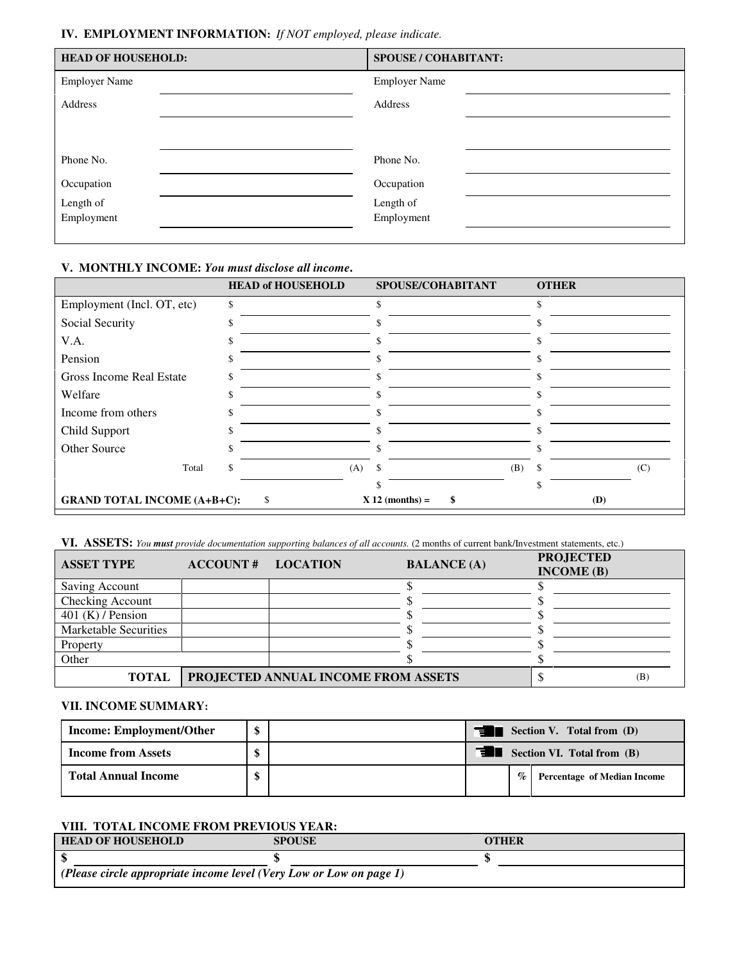#### **IV. EMPLOYMENT INFORMATION:** *If NOT employed, please indicate.*

| <b>HEAD OF HOUSEHOLD:</b> | <b>SPOUSE / COHABITANT:</b> |
|---------------------------|-----------------------------|
| <b>Employer Name</b>      | <b>Employer Name</b>        |
| Address                   | Address                     |
|                           |                             |
|                           |                             |
| Phone No.                 | Phone No.                   |
| Occupation                | Occupation                  |
| Length of                 | Length of                   |
| Employment                | Employment                  |
|                           |                             |

#### **V. MONTHLY INCOME:** *You must disclose all income***.**

|                                    | <b>HEAD of HOUSEHOLD</b> | SPOUSE/COHABITANT       | <b>OTHER</b> |
|------------------------------------|--------------------------|-------------------------|--------------|
| Employment (Incl. OT, etc)         | \$                       | \$                      |              |
| Social Security                    |                          |                         |              |
| V.A.                               |                          |                         |              |
| Pension                            |                          |                         |              |
| Gross Income Real Estate           |                          |                         |              |
| Welfare                            |                          | J.                      |              |
| Income from others                 |                          |                         |              |
| Child Support                      |                          |                         |              |
| Other Source                       |                          |                         |              |
| Total                              | (A)                      | \$<br>(B)               | (C)          |
|                                    |                          |                         | ς            |
| <b>GRAND TOTAL INCOME (A+B+C):</b> | \$                       | $X 12$ (months) =<br>\$ | (D)          |

**VI. ASSETS:** *You must provide documentation supporting balances of all accounts.* (2 months of current bank/Investment statements, etc.)

| <b>ASSET TYPE</b>            | <b>ACCOUNT# LOCATION</b> |                                     | <b>BALANCE</b> (A) | <b>PROJECTED</b><br>INCOME(B) |     |
|------------------------------|--------------------------|-------------------------------------|--------------------|-------------------------------|-----|
| Saving Account               |                          |                                     |                    |                               |     |
| Checking Account             |                          |                                     |                    |                               |     |
| 401 (K) / Pension            |                          |                                     |                    |                               |     |
| <b>Marketable Securities</b> |                          |                                     |                    |                               |     |
| Property                     |                          |                                     |                    |                               |     |
| Other                        |                          |                                     |                    |                               |     |
| <b>TOTAL</b>                 |                          | PROJECTED ANNUAL INCOME FROM ASSETS |                    |                               | (B) |

#### **VII. INCOME SUMMARY:**

| <b>Income: Employment/Other</b> |  | Section V. Total from (D)<br>T3. |  |                                    |  |
|---------------------------------|--|----------------------------------|--|------------------------------------|--|
| <b>Income from Assets</b>       |  | Section VI. Total from (B)       |  |                                    |  |
| <b>Total Annual Income</b>      |  | $\%$                             |  | <b>Percentage of Median Income</b> |  |

### **VIII. TOTAL INCOME FROM PREVIOUS YEAR:**

| <b>HEAD OF HOUSEHOLD</b>                                            | <b>SPOUSE</b> | <b>OTHER</b> |  |
|---------------------------------------------------------------------|---------------|--------------|--|
|                                                                     |               |              |  |
| (Please circle appropriate income level (Very Low or Low on page 1) |               |              |  |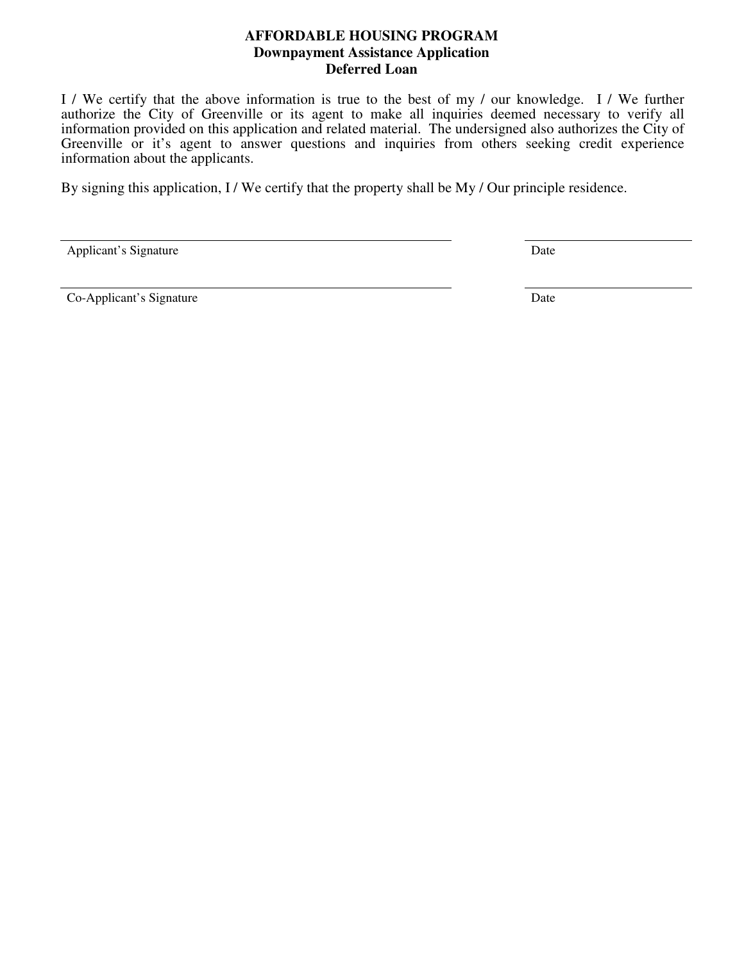### **AFFORDABLE HOUSING PROGRAM Downpayment Assistance Application Deferred Loan**

I / We certify that the above information is true to the best of my / our knowledge. I / We further authorize the City of Greenville or its agent to make all inquiries deemed necessary to verify all information provided on this application and related material. The undersigned also authorizes the City of Greenville or it's agent to answer questions and inquiries from others seeking credit experience information about the applicants.

By signing this application, I / We certify that the property shall be My / Our principle residence.

| Applicant's Signature | Date |
|-----------------------|------|
|-----------------------|------|

Co-Applicant's Signature Date